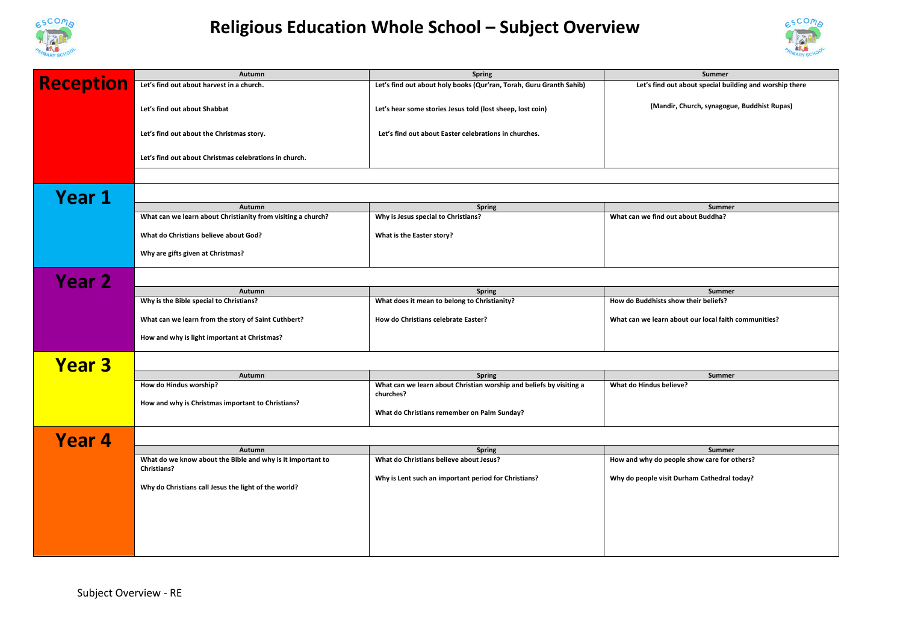

## **Religious Education Whole School – Subject Overview**



|                  | Autumn                                                                           | <b>Spring</b>                                                                    | Summer                                                  |  |  |
|------------------|----------------------------------------------------------------------------------|----------------------------------------------------------------------------------|---------------------------------------------------------|--|--|
| <b>Reception</b> | Let's find out about harvest in a church.                                        | Let's find out about holy books (Qur'ran, Torah, Guru Granth Sahib)              | Let's find out about special building and worship there |  |  |
|                  | Let's find out about Shabbat                                                     | Let's hear some stories Jesus told (lost sheep, lost coin)                       | (Mandir, Church, synagogue, Buddhist Rupas)             |  |  |
|                  | Let's find out about the Christmas story.                                        | Let's find out about Easter celebrations in churches.                            |                                                         |  |  |
|                  | Let's find out about Christmas celebrations in church.                           |                                                                                  |                                                         |  |  |
|                  |                                                                                  |                                                                                  |                                                         |  |  |
| <b>Year 1</b>    |                                                                                  |                                                                                  |                                                         |  |  |
|                  | Autumn                                                                           | <b>Spring</b>                                                                    | Summer                                                  |  |  |
|                  | What can we learn about Christianity from visiting a church?                     | Why is Jesus special to Christians?                                              | What can we find out about Buddha?                      |  |  |
|                  | What do Christians believe about God?                                            | What is the Easter story?                                                        |                                                         |  |  |
|                  | Why are gifts given at Christmas?                                                |                                                                                  |                                                         |  |  |
| <b>Year 2</b>    |                                                                                  |                                                                                  |                                                         |  |  |
|                  | Autumn                                                                           | <b>Spring</b>                                                                    | Summer                                                  |  |  |
|                  | Why is the Bible special to Christians?                                          | What does it mean to belong to Christianity?                                     | How do Buddhists show their beliefs?                    |  |  |
|                  | What can we learn from the story of Saint Cuthbert?                              | How do Christians celebrate Easter?                                              | What can we learn about our local faith communities?    |  |  |
|                  | How and why is light important at Christmas?                                     |                                                                                  |                                                         |  |  |
| <b>Year 3</b>    |                                                                                  |                                                                                  |                                                         |  |  |
|                  | Autumn                                                                           | <b>Spring</b>                                                                    | Summer                                                  |  |  |
|                  | How do Hindus worship?                                                           | What can we learn about Christian worship and beliefs by visiting a<br>churches? | What do Hindus believe?                                 |  |  |
|                  | How and why is Christmas important to Christians?                                | What do Christians remember on Palm Sunday?                                      |                                                         |  |  |
| Year 4           |                                                                                  |                                                                                  |                                                         |  |  |
|                  | Autumn                                                                           | <b>Spring</b>                                                                    | Summer                                                  |  |  |
|                  | What do we know about the Bible and why is it important to<br><b>Christians?</b> | What do Christians believe about Jesus?                                          | How and why do people show care for others?             |  |  |
|                  | Why do Christians call Jesus the light of the world?                             | Why is Lent such an important period for Christians?                             | Why do people visit Durham Cathedral today?             |  |  |
|                  |                                                                                  |                                                                                  |                                                         |  |  |
|                  |                                                                                  |                                                                                  |                                                         |  |  |
|                  |                                                                                  |                                                                                  |                                                         |  |  |
|                  |                                                                                  |                                                                                  |                                                         |  |  |